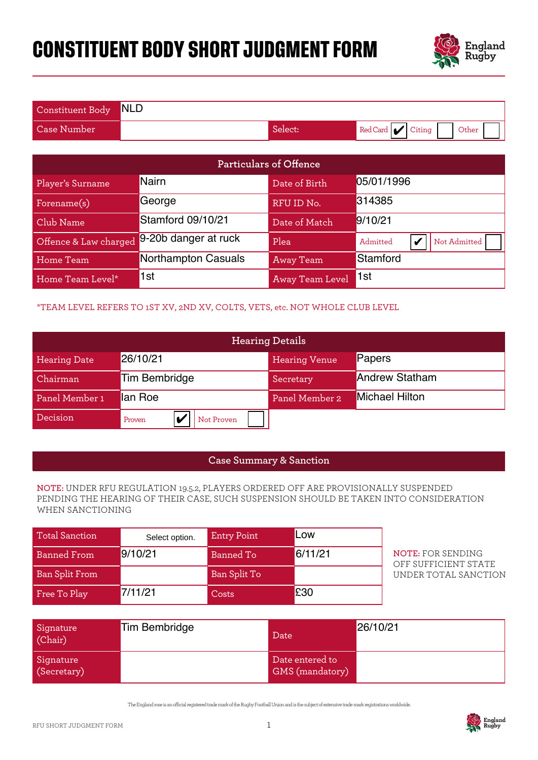# **CONSTITUENT BODY SHORT JUDGMENT FORM**



| Constituent Body NLD |         |                          |
|----------------------|---------|--------------------------|
| Case Number          | Select: | Red Card Citing<br>Other |

| Particulars of Offence                                                                                                                                                                          |                                                                              |                    |                                    |                                                        |  |
|-------------------------------------------------------------------------------------------------------------------------------------------------------------------------------------------------|------------------------------------------------------------------------------|--------------------|------------------------------------|--------------------------------------------------------|--|
| Player's Surname                                                                                                                                                                                | <b>Nairn</b>                                                                 |                    | Date of Birth                      | 05/01/1996                                             |  |
| Forename(s)                                                                                                                                                                                     | George                                                                       |                    | RFU ID No.                         | 314385                                                 |  |
| Club Name                                                                                                                                                                                       | <b>Stamford 09/10/21</b>                                                     |                    | Date of Match                      | 9/10/21                                                |  |
| Offence & Law charged                                                                                                                                                                           | 9-20b danger at ruck                                                         |                    | Plea                               | Admitted<br>$\boldsymbol{\mathcal{U}}$<br>Not Admitted |  |
| <b>Home Team</b>                                                                                                                                                                                | Northampton Casuals                                                          |                    | <b>Away Team</b>                   | Stamford                                               |  |
| Home Team Level*                                                                                                                                                                                | 1st                                                                          |                    | Away Team Level                    | 1st                                                    |  |
|                                                                                                                                                                                                 | *TEAM LEVEL REFERS TO 1ST XV, 2ND XV, COLTS, VETS, etc. NOT WHOLE CLUB LEVEL |                    |                                    |                                                        |  |
|                                                                                                                                                                                                 |                                                                              |                    | <b>Hearing Details</b>             |                                                        |  |
| <b>Hearing Date</b>                                                                                                                                                                             | 26/10/21                                                                     |                    | <b>Hearing Venue</b>               | Papers                                                 |  |
| Chairman                                                                                                                                                                                        | <b>Tim Bembridge</b>                                                         |                    | Secretary                          | <b>Andrew Statham</b>                                  |  |
| Panel Member 1                                                                                                                                                                                  | lan Roe                                                                      |                    |                                    | <b>Michael Hilton</b>                                  |  |
| Decision                                                                                                                                                                                        | V<br>Proven                                                                  | Not Proven         |                                    |                                                        |  |
|                                                                                                                                                                                                 |                                                                              |                    |                                    |                                                        |  |
|                                                                                                                                                                                                 |                                                                              |                    | <b>Case Summary &amp; Sanction</b> |                                                        |  |
| NOTE: UNDER RFU REGULATION 19.5.2, PLAYERS ORDERED OFF ARE PROVISIONALLY SUSPENDED<br>PENDING THE HEARING OF THEIR CASE, SUCH SUSPENSION SHOULD BE TAKEN INTO CONSIDERATION<br>WHEN SANCTIONING |                                                                              |                    |                                    |                                                        |  |
| <b>Total Sanction</b>                                                                                                                                                                           | Select option.                                                               | <b>Entry Point</b> | Low                                |                                                        |  |
| <b>Banned From</b>                                                                                                                                                                              | 9/10/21                                                                      | <b>Banned To</b>   | 6/11/21                            | <b>NOTE: FOR SENDING</b><br>OFF SUFFICIENT STATE       |  |
| <b>Ban Split From</b>                                                                                                                                                                           |                                                                              | Ban Split To       |                                    | UNDER TOTAL SANCTION                                   |  |
| Free To Play                                                                                                                                                                                    | 7/11/21                                                                      | Costs              | £30                                |                                                        |  |

### \*TEAM LEVEL REFERS TO 1ST XV, 2ND XV, COLTS, VETS, etc. NOT WHOLE CLUB LEVEL

| <b>Hearing Details</b> |                      |                      |                       |
|------------------------|----------------------|----------------------|-----------------------|
| <b>Hearing Date</b>    | 26/10/21             | <b>Hearing Venue</b> | Papers                |
| Chairman               | Tim Bembridge        | Secretary            | <b>Andrew Statham</b> |
| Panel Member 1         | llan Roe             | Panel Member 2       | <b>Michael Hilton</b> |
| Decision               | Not Proven<br>Proven |                      |                       |

#### **Case Summary & Sanction**

#### **NOTE:** UNDER RFU REGULATION 19.5.2, PLAYERS ORDERED OFF ARE PROVISIONALLY SUSPENDED PENDING THE HEARING OF THEIR CASE, SUCH SUSPENSION SHOULD BE TAKEN INTO CONSIDERATION WHEN SANCTIONING

| <b>Total Sanction</b> | Select option. | <b>Entry Point</b> | Low     |
|-----------------------|----------------|--------------------|---------|
| <b>Banned From</b>    | 9/10/21        | Banned To          | 6/11/21 |
| <b>Ban Split From</b> |                | Ban Split To       |         |
| Free To Play          | 7/11/21        | Costs              | £30     |

| Signature<br>(Chair)     | Tim Bembridge | Date                                      | 26/10/21 |
|--------------------------|---------------|-------------------------------------------|----------|
| Signature<br>(Secretary) |               | Date entered to<br><b>GMS</b> (mandatory) |          |

The England rose is an ocial registered trade mark of the Rugby Football Union and is the subject of extensive trade mark registrations worldwide.

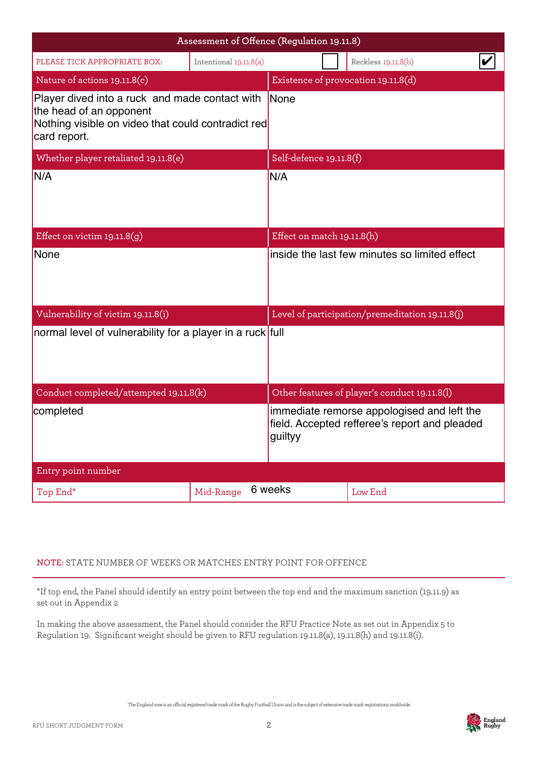|                                                                                                                                                 | Assessment of Offence (Regulation 19.11.8) |                                                                                                        |                                     |                                                 |  |
|-------------------------------------------------------------------------------------------------------------------------------------------------|--------------------------------------------|--------------------------------------------------------------------------------------------------------|-------------------------------------|-------------------------------------------------|--|
| PLEASE TICK APPROPRIATE BOX:                                                                                                                    | Intentional 19.11.8(a)                     |                                                                                                        |                                     | Reckless 19.11.8(b)                             |  |
| Nature of actions 19.11.8(c)                                                                                                                    |                                            |                                                                                                        | Existence of provocation 19.11.8(d) |                                                 |  |
| Player dived into a ruck and made contact with<br>the head of an opponent<br>Nothing visible on video that could contradict red<br>card report. |                                            | <b>None</b>                                                                                            |                                     |                                                 |  |
| Whether player retaliated 19.11.8(e)                                                                                                            |                                            | Self-defence 19.11.8(f)                                                                                |                                     |                                                 |  |
| N/A                                                                                                                                             |                                            | N/A                                                                                                    |                                     |                                                 |  |
| Effect on victim $19.11.8(g)$                                                                                                                   |                                            | Effect on match 19.11.8(h)                                                                             |                                     |                                                 |  |
| None                                                                                                                                            |                                            |                                                                                                        |                                     | inside the last few minutes so limited effect   |  |
| Vulnerability of victim 19.11.8(i)                                                                                                              |                                            |                                                                                                        |                                     | Level of participation/premeditation 19.11.8(j) |  |
| normal level of vulnerability for a player in a ruck full                                                                                       |                                            |                                                                                                        |                                     |                                                 |  |
| Conduct completed/attempted 19.11.8(k)                                                                                                          |                                            |                                                                                                        |                                     | Other features of player's conduct 19.11.8(l)   |  |
| completed                                                                                                                                       |                                            | immediate remorse appologised and left the<br>field. Accepted refferee's report and pleaded<br>guiltyy |                                     |                                                 |  |
| Entry point number                                                                                                                              |                                            |                                                                                                        |                                     |                                                 |  |
| Top End*                                                                                                                                        | Mid-Range                                  | 6 weeks                                                                                                |                                     | Low End                                         |  |

## **NOTE:** STATE NUMBER OF WEEKS OR MATCHES ENTRY POINT FOR OFFENCE

\*If top end, the Panel should identify an entry point between the top end and the maximum sanction (19.11.9) as set out in Appendix 2

In making the above assessment, the Panel should consider the RFU Practice Note as set out in Appendix 5 to Regulation 19. Significant weight should be given to RFU regulation 19.11.8(a), 19.11.8(h) and 19.11.8(i).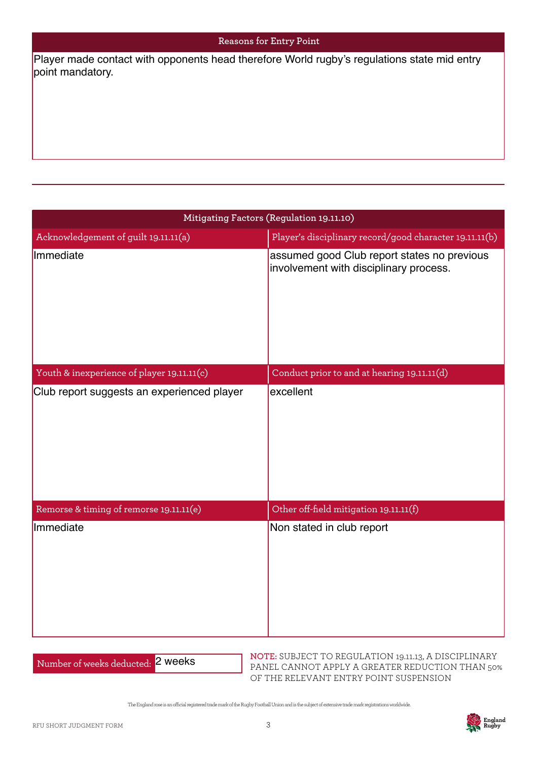#### **Reasons for Entry Point**

| Player made contact with opponents head therefore World rugby's regulations state mid entry<br>point mandatory. |                                                                                       |  |  |
|-----------------------------------------------------------------------------------------------------------------|---------------------------------------------------------------------------------------|--|--|
|                                                                                                                 |                                                                                       |  |  |
|                                                                                                                 |                                                                                       |  |  |
|                                                                                                                 |                                                                                       |  |  |
|                                                                                                                 |                                                                                       |  |  |
|                                                                                                                 |                                                                                       |  |  |
|                                                                                                                 | Mitigating Factors (Regulation 19.11.10)                                              |  |  |
| Acknowledgement of guilt 19.11.11(a)                                                                            | Player's disciplinary record/good character 19.11.11(b)                               |  |  |
| Immediate                                                                                                       | assumed good Club report states no previous<br>involvement with disciplinary process. |  |  |
|                                                                                                                 |                                                                                       |  |  |
| Youth & inexperience of player 19.11.11(c)                                                                      | Conduct prior to and at hearing 19.11.11(d)                                           |  |  |
| Club report suggests an experienced player                                                                      | excellent                                                                             |  |  |
|                                                                                                                 |                                                                                       |  |  |
|                                                                                                                 |                                                                                       |  |  |
| Remorse & timing of remorse 19.11.11(e)                                                                         | Other off-field mitigation 19.11.11(f)                                                |  |  |
| Immediate                                                                                                       | Non stated in club report                                                             |  |  |
|                                                                                                                 |                                                                                       |  |  |

Number of weeks deducted: 2 weeks

**NOTE:** SUBJECT TO REGULATION 19.11.13, A DISCIPLINARY PANEL CANNOT APPLY A GREATER REDUCTION THAN 50% OF THE RELEVANT ENTRY POINT SUSPENSION

The England rose is an ocial registered trade mark of the Rugby Football Union and is the subject of extensive trade mark registrations worldwide.